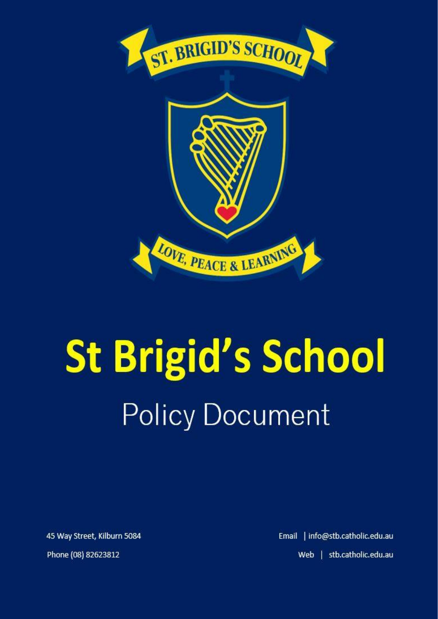

# **St Brigid's School Policy Document**

45 Way Street, Kilburn 5084

Email | info@stb.catholic.edu.au Web | stb.catholic.edu.au

Phone (08) 82623812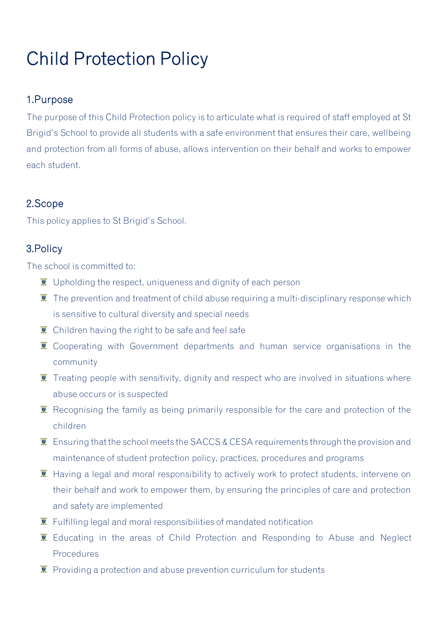# Child Protection Policy

#### 1.Purpose

The purpose of this Child Protection policy is to articulate what is required of staff employed at St Brigid's School to provide all students with a safe environment that ensures their care, wellbeing and protection from all forms of abuse, allows intervention on their behalf and works to empower each student.

### 2.Scope

This policy applies to St Brigid's School.

### 3.Policy

The school is committed to:

- $\overline{\bullet}$  Upholding the respect, uniqueness and dignity of each person
- $\bullet$  The prevention and treatment of child abuse requiring a multi-disciplinary response which is sensitive to cultural diversity and special needs
- $\ddot{\mathbf{z}}$  Children having the right to be safe and feel safe
- $\overline{\bullet}$  Cooperating with Government departments and human service organisations in the community
- $\bullet$  Treating people with sensitivity, dignity and respect who are involved in situations where abuse occurs or is suspected
- $\ddot{\mathbf{z}}$  Recognising the family as being primarily responsible for the care and protection of the children
- **E** Ensuring that the school meets the SACCS & CESA requirements through the provision and maintenance of student protection policy, practices, procedures and programs
- $\ddot{\mathbf{I}}$  Having a legal and moral responsibility to actively work to protect students, intervene on their behalf and work to empower them, by ensuring the principles of care and protection and safety are implemented
- $\mathbf{\Sigma}$  Fulfilling legal and moral responsibilities of mandated notification
- **E** Educating in the areas of Child Protection and Responding to Abuse and Neglect Procedures
- $\ddot{\mathbf{v}}$  Providing a protection and abuse prevention curriculum for students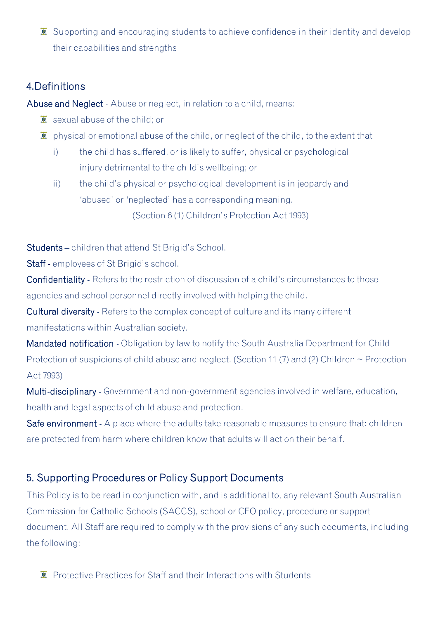$\overline{\bullet}$  Supporting and encouraging students to achieve confidence in their identity and develop their capabilities and strengths

#### 4.Definitions

Abuse and Neglect - Abuse or neglect, in relation to a child, means:

- $\bar{z}$  sexual abuse of the child; or
- $\bar{I}$  physical or emotional abuse of the child, or neglect of the child, to the extent that
	- i) the child has suffered, or is likely to suffer, physical or psychological injury detrimental to the child's wellbeing; or
	- ii) the child's physical or psychological development is in jeopardy and 'abused' or 'neglected' has a corresponding meaning.

(Section 6 (1) Children's Protection Act 1993)

Students – children that attend St Brigid's School.

Staff - employees of St Brigid's school.

Confidentiality - Refers to the restriction of discussion of a child's circumstances to those agencies and school personnel directly involved with helping the child.

Cultural diversity - Refers to the complex concept of culture and its many different manifestations within Australian society.

Mandated notification - Obligation by law to notify the South Australia Department for Child Protection of suspicions of child abuse and neglect. (Section 11 (7) and (2) Children  $\sim$  Protection Act 7993)

Multi-disciplinary - Government and non-government agencies involved in welfare, education, health and legal aspects of child abuse and protection.

Safe environment - A place where the adults take reasonable measures to ensure that: children are protected from harm where children know that adults will act on their behalf.

#### 5. Supporting Procedures or Policy Support Documents

This Policy is to be read in conjunction with, and is additional to, any relevant South Australian Commission for Catholic Schools (SACCS), school or CEO policy, procedure or support document. All Staff are required to comply with the provisions of any such documents, including the following:

 $\ddot{\bullet}$  Protective Practices for Staff and their Interactions with Students